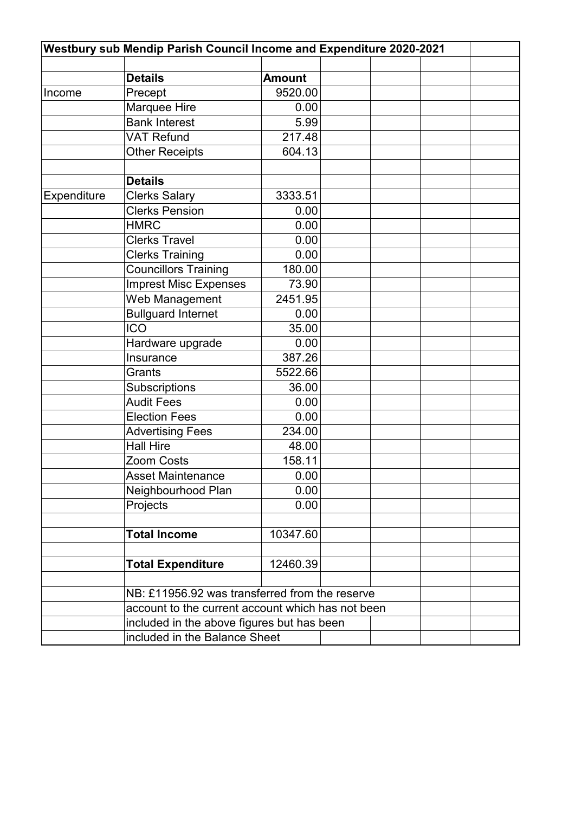| Westbury sub Mendip Parish Council Income and Expenditure 2020-2021 |                                                   |               |  |  |  |  |
|---------------------------------------------------------------------|---------------------------------------------------|---------------|--|--|--|--|
|                                                                     |                                                   |               |  |  |  |  |
|                                                                     | <b>Details</b>                                    | <b>Amount</b> |  |  |  |  |
| Income                                                              | Precept                                           | 9520.00       |  |  |  |  |
|                                                                     | Marquee Hire                                      | 0.00          |  |  |  |  |
|                                                                     | <b>Bank Interest</b>                              | 5.99          |  |  |  |  |
|                                                                     | <b>VAT Refund</b>                                 | 217.48        |  |  |  |  |
|                                                                     | <b>Other Receipts</b>                             | 604.13        |  |  |  |  |
|                                                                     |                                                   |               |  |  |  |  |
|                                                                     | <b>Details</b>                                    |               |  |  |  |  |
| <b>Expenditure</b>                                                  | <b>Clerks Salary</b>                              | 3333.51       |  |  |  |  |
|                                                                     | <b>Clerks Pension</b>                             | 0.00          |  |  |  |  |
|                                                                     | <b>HMRC</b>                                       | 0.00          |  |  |  |  |
|                                                                     | <b>Clerks Travel</b>                              | 0.00          |  |  |  |  |
|                                                                     | <b>Clerks Training</b>                            | 0.00          |  |  |  |  |
|                                                                     | <b>Councillors Training</b>                       | 180.00        |  |  |  |  |
|                                                                     | <b>Imprest Misc Expenses</b>                      | 73.90         |  |  |  |  |
|                                                                     | Web Management                                    | 2451.95       |  |  |  |  |
|                                                                     | <b>Bullguard Internet</b>                         | 0.00          |  |  |  |  |
|                                                                     | <b>ICO</b>                                        | 35.00         |  |  |  |  |
|                                                                     | Hardware upgrade                                  | 0.00          |  |  |  |  |
|                                                                     | Insurance                                         | 387.26        |  |  |  |  |
|                                                                     | Grants                                            | 5522.66       |  |  |  |  |
|                                                                     | Subscriptions                                     | 36.00         |  |  |  |  |
|                                                                     | <b>Audit Fees</b>                                 | 0.00          |  |  |  |  |
|                                                                     | <b>Election Fees</b>                              | 0.00          |  |  |  |  |
|                                                                     | <b>Advertising Fees</b>                           | 234.00        |  |  |  |  |
|                                                                     | <b>Hall Hire</b>                                  | 48.00         |  |  |  |  |
|                                                                     | Zoom Costs                                        | 158.11        |  |  |  |  |
|                                                                     | <b>Asset Maintenance</b>                          | 0.00          |  |  |  |  |
|                                                                     | Neighbourhood Plan                                | 0.00          |  |  |  |  |
|                                                                     | Projects                                          | 0.00          |  |  |  |  |
|                                                                     |                                                   |               |  |  |  |  |
|                                                                     | <b>Total Income</b>                               | 10347.60      |  |  |  |  |
|                                                                     |                                                   |               |  |  |  |  |
|                                                                     | <b>Total Expenditure</b>                          | 12460.39      |  |  |  |  |
|                                                                     |                                                   |               |  |  |  |  |
|                                                                     | NB: £11956.92 was transferred from the reserve    |               |  |  |  |  |
|                                                                     | account to the current account which has not been |               |  |  |  |  |
|                                                                     | included in the above figures but has been        |               |  |  |  |  |
|                                                                     | included in the Balance Sheet                     |               |  |  |  |  |